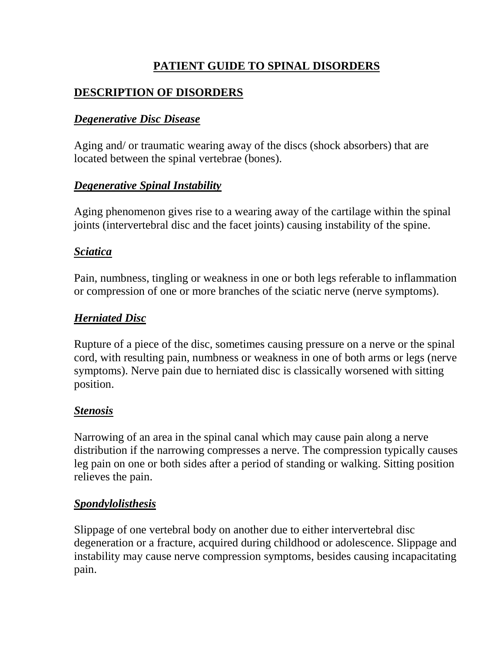# **PATIENT GUIDE TO SPINAL DISORDERS**

# **DESCRIPTION OF DISORDERS**

## *Degenerative Disc Disease*

Aging and/ or traumatic wearing away of the discs (shock absorbers) that are located between the spinal vertebrae (bones).

### *Degenerative Spinal Instability*

Aging phenomenon gives rise to a wearing away of the cartilage within the spinal joints (intervertebral disc and the facet joints) causing instability of the spine.

### *Sciatica*

Pain, numbness, tingling or weakness in one or both legs referable to inflammation or compression of one or more branches of the sciatic nerve (nerve symptoms).

### *Herniated Disc*

Rupture of a piece of the disc, sometimes causing pressure on a nerve or the spinal cord, with resulting pain, numbness or weakness in one of both arms or legs (nerve symptoms). Nerve pain due to herniated disc is classically worsened with sitting position.

### *Stenosis*

Narrowing of an area in the spinal canal which may cause pain along a nerve distribution if the narrowing compresses a nerve. The compression typically causes leg pain on one or both sides after a period of standing or walking. Sitting position relieves the pain.

### *Spondylolisthesis*

Slippage of one vertebral body on another due to either intervertebral disc degeneration or a fracture, acquired during childhood or adolescence. Slippage and instability may cause nerve compression symptoms, besides causing incapacitating pain.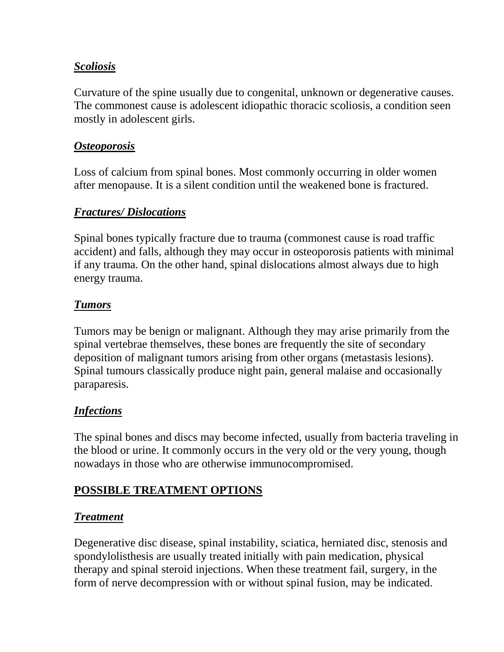## *Scoliosis*

Curvature of the spine usually due to congenital, unknown or degenerative causes. The commonest cause is adolescent idiopathic thoracic scoliosis, a condition seen mostly in adolescent girls.

### *Osteoporosis*

Loss of calcium from spinal bones. Most commonly occurring in older women after menopause. It is a silent condition until the weakened bone is fractured.

### *Fractures/ Dislocations*

Spinal bones typically fracture due to trauma (commonest cause is road traffic accident) and falls, although they may occur in osteoporosis patients with minimal if any trauma. On the other hand, spinal dislocations almost always due to high energy trauma.

#### *Tumors*

Tumors may be benign or malignant. Although they may arise primarily from the spinal vertebrae themselves, these bones are frequently the site of secondary deposition of malignant tumors arising from other organs (metastasis lesions). Spinal tumours classically produce night pain, general malaise and occasionally paraparesis.

## *Infections*

The spinal bones and discs may become infected, usually from bacteria traveling in the blood or urine. It commonly occurs in the very old or the very young, though nowadays in those who are otherwise immunocompromised.

### **POSSIBLE TREATMENT OPTIONS**

### *Treatment*

Degenerative disc disease, spinal instability, sciatica, herniated disc, stenosis and spondylolisthesis are usually treated initially with pain medication, physical therapy and spinal steroid injections. When these treatment fail, surgery, in the form of nerve decompression with or without spinal fusion, may be indicated.